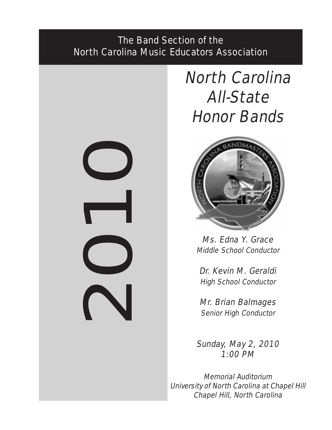# The Band Section of the North Carolina Music Educators Association



# North Carolina All-State Honor Bands



Ms. Edna Y. Grace Middle School Conductor

Dr. Kevin M. Geraldi High School Conductor

Mr. Brian Balmages Senior High Conductor

Sunday, May 2, 2010 1:00 PM

Memorial Auditorium University of North Carolina at Chapel Hill Chapel Hill, North Carolina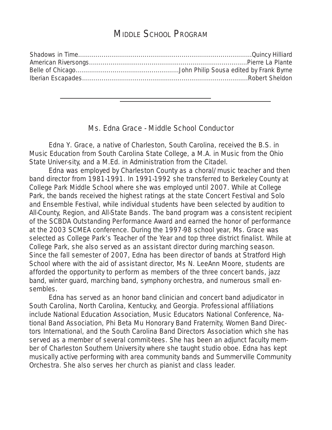# MIDDLE SCHOOL PROGRAM

# Ms. Edna Grace - Middle School Conductor

**Edna Y. Grace, a native of Charleston, South Carolina, received the B.S. in** Music Education from South Carolina State College, a M.A. in Music from the Ohio State Univer-sity, and a M.Ed. in Administration from the Citadel.

Edna was employed by Charleston County as a choral/music teacher and then band director from 1981-1991. In 1991-1992 she transferred to Berkeley County at College Park Middle School where she was employed until 2007. While at College Park, the bands received the highest ratings at the state Concert Festival and Solo and Ensemble Festival, while individual students have been selected by audition to All-County, Region, and All-State Bands. The band program was a consistent recipient of the SCBDA Outstanding Performance Award and earned the honor of performance at the 2003 SCMEA conference. During the 1997-98 school year, Ms. Grace was selected as College Park's Teacher of the Year and top three district finalist. While at College Park, she also served as an assistant director during marching season. Since the fall semester of 2007, Edna has been director of bands at Stratford High School where with the aid of assistant director, Ms N. LeeAnn Moore, students are afforded the opportunity to perform as members of the three concert bands, jazz band, winter guard, marching band, symphony orchestra, and numerous small ensembles.

Edna has served as an honor band clinician and concert band adjudicator in South Carolina, North Carolina, Kentucky, and Georgia. Professional affiliations include National Education Association, Music Educators National Conference, National Band Association, Phi Beta Mu Honorary Band Fraternity, Women Band Directors International, and the South Carolina Band Directors Association which she has served as a member of several commit-tees. She has been an adjunct faculty member of Charleston Southern University where she taught studio oboe. Edna has kept musically active performing with area community bands and Summerville Community Orchestra. She also serves her church as pianist and class leader.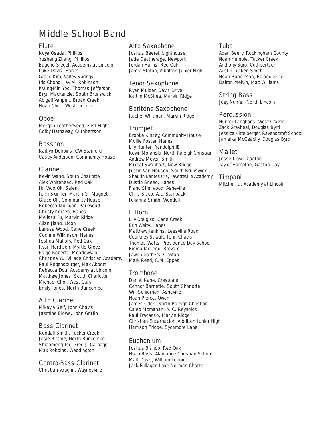# Middle School Band

#### Flute

Koya Osada, Phillips Yusheng Zhang, Phillips Eugene Siegel, Academy at Lincoln Luke Davis, Hanes Grace Kim, Valley Springs Iris Chong, Jay M. Robinson Kyung-Min Yoo, Thomas Jefferson Bryn Mackenzie, South Brunswick Abigail Vanpelt, Broad Creek Noah Cline, West Lincoln

#### Oboe

Morgan Leatherwood, First Flight Colby Hathaway, Cuthbertson

#### Bassoon

Kaitlyn Dobbins, CW Stanford Casey Anderson, Community House

# Clarinet

Kevin Wang, South Charlotte Alex Whitehead, Red Oak Jin Woo Ok, Salem John Skinner, Martin GT Magnet Grace Oh, Community House Rebecca Mulligan, Parkwood Christy Korzen, Hanes Melissa Fu, Marvin Ridge Allan Jiang, Ligon Larissa Wood, Cane Creek Corinne Wilkinson, Hanes Joshua Mallory, Red Oak Ryan Hardison, Myrtle Grove Paige Roberts, Meadowlark Christina Yu, Village Christian Academy Paul Regensburger, Max Abbott Rebecca Dou, Academy at Lincoln Matthew Jones, South Charlotte Michael Choi, West Cary Emily Jones, North Buncombe

# Alto Clarinet

Mikayla Self, John Chavis Jasmine Blowe, John Griffin

# Bass Clarinet

Kendall Smith, Tucker Creek Josie Ritchie, North Buncombe Shiaomeng Tse, Fred J. Carnage Max Robbins, Weddington

#### Contra-Bass Clarinet

Christian Vaughn, Waynesville

#### Alto Saxophone

Joshua Beerel, Lighthouse Jade Deatherage, Newport Jordan Harris, Red Oak Jamie Staton, Albritton Junior High

#### Tenor Saxophone

Ryan Mulder, Davis Drive Kaitlin McShea, Marvin Ridge

# Baritone Saxophone

Rachel Whitman, Marvin Ridge

# Trumpet

Brooke Kinsey, Community House Mollie Foster, Hanes Lily Hunter, Randolph IB Kevin Moranski, North Raleigh Christian Andrew Meyer, Smith Mikeal Swanhart, New Bridge Justin Van Housen, South Brunswick Shaurin Kantesaria, Fayetteville Academy Dustin Sneed, Hanes Franc Sherwood, Asheville Chris Sisco, A.L. Stanback Julianna Smith, Wendell

# F Horn

Lily Douglas, Cane Creek Erin Welty, Hanes Matthew Jenkins, Leesville Road Courtney Stiwalt, John Chavis Thomas Watts, Providence Day School Emma McLeod, Brevard Jawon Gathers, Clayton Mark Reed, C.M. Eppes

# **Trombone**

Daniel Kane, Crestdale Connor Barnette, South Chorlotte Will Schierhon, Asheville Noah Pierce, Owen James Oden, North Raleigh Christian Caleb Mcmahan, A. C. Reynolds Paul Fracasso, Marvin Ridge Christian Encarnacion, Albritton Junior HighHarrison Priode, Sycamore Lane

# Euphonium

Joshua Bishop, Red Oak Noah Russ, Alamance Christian School Matt Davis, William Lenoir Jack Fullagar, Lake Norman Charter

#### Tuba

Aden Beery, Rockingham County Noah Kemble, Tucker Creek Anthony Sgro, Cuthbertson Austin Tucker, Smith Noah Robertson, Roland-Grice Dalton Melvin, Mac Williams

# String Bass

Joey Nuhfer, North Lincoln

# **Percussion**

Hunter Langhans, West Craven Zack Graybeal, Douglas Byrd Jessica Kittelberger, Ravenscroft School Jameika McGeachy, Douglas Byrd

# Mallet

Jesse Lloyd, Canton Taylor Hampton, Gaston Day

#### Timpani

Mitchell Li, Academy at Lincoln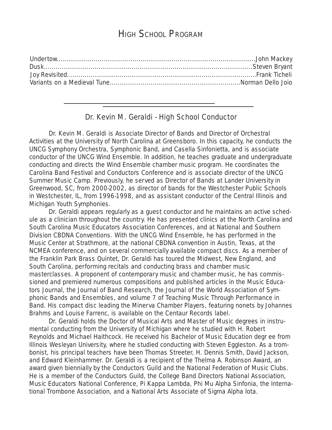# HIGH SCHOOL PROGRAM

# Dr. Kevin M. Geraldi - High School Conductor

Dr. Kevin M. Geraldi is Associate Director of Bands and Director of Orchestral Activities at the University of North Carolina at Greensboro. In this capacity, he conducts the UNCG Symphony Orchestra, Symphonic Band, and Casella Sinfonietta, and is associate conductor of the UNCG Wind Ensemble. In addition, he teaches graduate and undergraduate conducting and directs the Wind Ensemble chamber music program. He coordinates the Carolina Band Festival and Conductors Conference and is associate director of the UNCG Summer Music Camp. Previously, he served as Director of Bands at Lander University in Greenwood, SC, from 2000-2002, as director of bands for the Westchester Public Schools in Westchester, IL, from 1996-1998, and as assistant conductor of the Central Illinois and Michigan Youth Symphonies.

Dr. Geraldi appears regularly as a guest conductor and he maintains an active schedule as a clinician throughout the country. He has presented clinics at the North Carolina and South Carolina Music Educators Association Conferences, and at National and Southern Division CBDNA Conventions. With the UNCG Wind Ensemble, he has performed in the Music Center at Strathmore, at the national CBDNA convention in Austin, Texas, at the NCMEA conference, and on several commercially available compact discs. As a member of the Franklin Park Brass Quintet, Dr. Geraldi has toured the Midwest, New England, and South Carolina, performing recitals and conducting brass and chamber music masterclasses. A proponent of contemporary music and chamber music, he has commissioned and premiered numerous compositions and published articles in the Music Educators Journal, the Journal of Band Research, the Journal of the World Association of Symphonic Bands and Ensembles, and volume 7 of Teaching Music Through Performance in Band. His compact disc leading the Minerva Chamber Players, featuring nonets by Johannes Brahms and Louise Farrenc, is available on the Centaur Records label.

Dr. Geraldi holds the Doctor of Musical Arts and Master of Music degrees in instrumental conducting from the University of Michigan where he studied with H. Robert Reynolds and Michael Haithcock. He received his Bachelor of Music Education degr ee from Illinois Wesleyan University, where he studied conducting with Steven Eggleston. As a trombonist, his principal teachers have been Thomas Streeter, H. Dennis Smith, David Jackson, and Edward Kleinhammer. Dr. Geraldi is a recipient of the Thelma A. Robinson Award, an award given biennially by the Conductors Guild and the National Federation of Music Clubs. He is a member of the Conductors Guild, the College Band Directors National Association, Music Educators National Conference, Pi Kappa Lambda, Phi Mu Alpha Sinfonia, the International Trombone Association, and a National Arts Associate of Sigma Alpha Iota.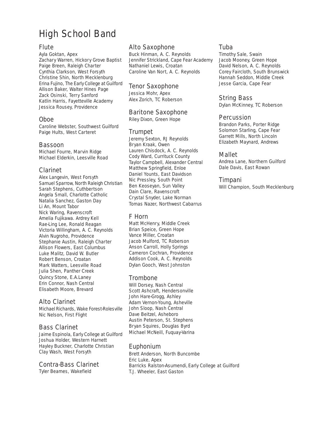# High School Band

### **Flute**

Ayla Goktan, Apex Zachary Warren, Hickory Grove Baptist Paige Breen, Raleigh Charter Cynthia Clarkson, West Forsyth Christine Shin, North Mecklenburg Erina Fujino, The Early College at Guilford Allison Baker, Walter Hines Page Zack Osinski, Terry Sanford Katlin Harris, Fayetteville Academy Jessica Rousey, Providence

#### Oboe

Caroline Webster, Southwest Guilford Paige Hults, West Carteret

#### Bassoon

Michael Fourre, Marvin Ridge Michael Elderkin, Leesville Road

#### Clarinet

Alex Langevin, West Forsyth Samuel Sparrow, North Raleigh Christian Sarah Stephens, Cuthbertson Angela Small, Charlotte Catholic Natalia Sanchez, Gaston Day Li An, Mount Tabor Nick Waring, Ravenscroft Amelia Fujikawa. Ardrey Kell Rae-Ling Lee, Ronald Reagan Victoria Willingham, A. C. Reynolds Alvin Nugroho, Providence Stephanie Austin, Raleigh Charter Allison Flowers, East Columbus Luke Malitz, David W. Butler Robert Benson, Croatan Mark Watters, Leesville Road Julia Shen, Panther Creek Quincy Stone, E.A.Laney Erin Connor, Nash Central Elisabeth Moore, Brevard

# Alto Clarinet

Michael Richards, Wake Forest-Rolesville Nic Nelson, First Flight

#### Bass Clarinet

Jaime Espinola, Early College at Guilford Joshua Holder, Western Harnett Hayley Buckner, Charlotte Christian Clay Wash, West Forsyth

#### Contra-Bass Clarinet

Tyler Beames, Wakefield

#### Alto Saxophone

Buck Hinman, A. C. Reynolds Jennifer Strickland, Cape Fear Academy Nathaniel Lewis, Croatan Caroline Van Nort, A. C. Reynolds

#### Tenor Saxophone

Jessica Mohr, Apex Alex Zorich, TC Roberson

#### Baritone Saxophone

Riley Dixon, Green Hope

# Trumpet

Jeremy Sexton, RJ Reynolds Bryan Kraak, Owen Lauren Chisdock, A. C. Reynolds Cody Ward, Currituck County Taylor Campbell, Alexander Central Matthew Springfield, Enloe Daniel Younts, East Davidson Nic Pressley, South Point Ben Keoseyan, Sun Valley Dain Clare, Ravenscroft Crystal Snyder, Lake Norman Tomas Nazer, Northwest Cabarrus

#### F Horn

Matt McHenry, Middle Creek Brian Speice, Green Hope Vance Miller, Croatan Jacob Mulford, TC Roberson Anson Carroll, Holly Springs Cameron Cochran, Providence Addison Cook, A. C. Reynolds Dylan Gooch, West Johnston

#### Trombone

Will Dorsey, Nash Central Scott Ashcraft, Hendersonville John Hare-Grogg, Ashley Adam Vernon-Young, Asheville John Sloop, Nash Central Dave Beitzel, Asheboro Austin Peterson, St. Stephens Bryan Squires, Douglas Byrd Michael McNeill, Fuquay-Varina

# Euphonium

Brett Anderson, North Buncombe Eric Luke, Apex Barricks Ralston-Asumendi, Early College at GuilfordT.J. Wheeler, East Gaston

#### Tuba

Timothy Sale, Swain Jacob Mooney, Green Hope David Nelson, A. C. Reynolds Corey Faircloth, South Brunswick Hannah Seddon, Middle Creek Jesse Garcia, Cape Fear

# String Bass

Dylan McKinney, TC Roberson

#### Percussion

Brandon Parks, Porter Ridge Solomon Starling, Cape Fear Garrett Mills, North Lincoln Elizabeth Maynard, Andrews

#### Mallet

Andrea Lane, Northern Guilford Dale Davis, East Rowan

#### Timpani

Will Champion, South Mecklenburg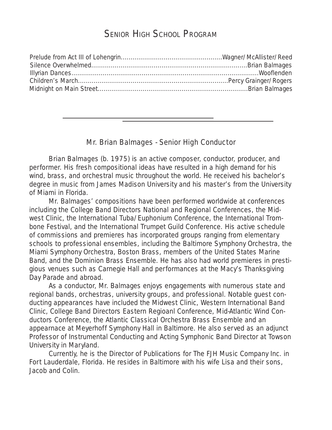# SENIOR HIGH SCHOOL PROGRAM

# Mr. Brian Balmages - Senior High Conductor

Brian Balmages (b. 1975) is an active composer, conductor, producer, and performer. His fresh compositional ideas have resulted in a high demand for his wind, brass, and orchestral music throughout the world. He received his bachelor's degree in music from James Madison University and his master's from the University of Miami in Florida.

Mr. Balmages' compositions have been performed worldwide at conferences including the College Band Directors National and Regional Conferences, the Midwest Clinic, the International Tuba/Euphonium Conference, the International Trombone Festival, and the International Trumpet Guild Conference. His active schedule of commissions and premieres has incorporated groups ranging from elementary schools to professional ensembles, including the Baltimore Symphony Orchestra, the Miami Symphony Orchestra, Boston Brass, members of the United States Marine Band, and the Dominion Brass Ensemble. He has also had world premieres in prestigious venues such as Carnegie Hall and performances at the Macy's Thanksgiving Day Parade and abroad.

As a conductor, Mr. Balmages enjoys engagements with numerous state and regional bands, orchestras, university groups, and professional. Notable guest conducting appearances have included the Midwest Clinic, Western International Band Clinic, College Band Directors Eastern Regioanl Conference, Mid-Atlantic Wind Conductors Conference, the Atlantic Classical Orchestra Brass Ensemble and an appearnace at Meyerhoff Symphony Hall in Baltimore. He also served as an adjunct Professor of Instrumental Conducting and Acting Symphonic Band Director at Towson University in Maryland.

Currently, he is the Director of Publications for The FJH Music Company Inc. in Fort Lauderdale, Florida. He resides in Baltimore with his wife Lisa and their sons, Jacob and Colin.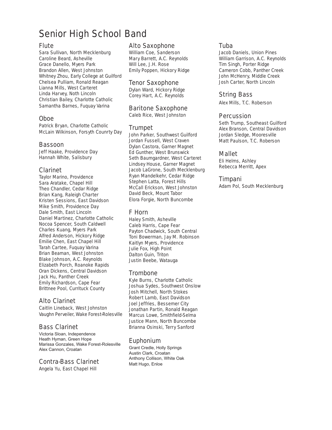# Senior High School Band

#### Flute

Sara Sullivan, North Mecklenburg Caroline Beard, Asheville Grace Danello, Myers Park Brandon Allen, West Johnston Whitney Zhou, Early College at Guilford Chelsea Pulliam, Ronald Reagan Lianna Mills, West Carteret Linda Harvey, Noth Lincoln Christian Bailey, Charlotte Catholic Samantha Barnes, Fuquay Varina

#### Oboe

Patrick Bryan, Charlotte Catholic McLain Wilkinson, Forsyth Counrty Day

#### Bassoon

Jeff Haake, Providence Day Hannah White, Salisbury

#### Clarinet

Taylor Marino, Providence Sara Aratake, Chapel Hill Theo Chandler, Cedar Ridge Brian Kang, Raleigh Charter Kristen Sessions, East Davidson Mike Smith, Providence Day Dale Smith, East Lincoln Daniel Martinez, Charlotte Catholic Nocoa Spencer, South Caldwell Charles Kuang, Myers Park Alfred Anderson, Hickory Ridge Emilie Chen, East Chapel Hill Tarah Cartee, Fuquay Varina Brian Beaman, West Johnston Blake Johnson, A.C. Reynolds Elizabeth Porch, Roanoke Rapids Oran Dickens, Central Davidson Jack Hu, Panther Creek Emily Richardson, Cape Fear Brittnee Pool, Currituck County

# Alto Clarinet

Caitlin Lineback, West Johnston Vaughn Perveiler, Wake Forest-Rolesville

# Bass Clarinet

Victoria Sloan, Independence Heath Hyman, Green Hope Marissa Gonzales, Wake Forest-Rolesville Alex Cannon, Croatan

#### Contra-Bass Clarinet

Angela Yu, East Chapel Hill

#### Alto Saxophone

William Coe, Sanderson Mary Barrett, A.C. Reynolds Will Lee, J.H. Rose Emily Poppen, Hickory Ridge

#### Tenor Saxophone

Dylan Ward, Hickory Ridge Corey Hart, A.C. Reynolds

#### Baritone Saxophone

Caleb Rice, West Johnston

#### Trumpet

John Parker, Southwest Guilford Jordan Fussell, West Craven Dylan Castora, Garner Magnet Ed Gunther, West Brunswick Seth Baumgardner, West Carteret Lindsey House, Garner Magnet Jacob LaGrone, South Mecklenburg Ryan Mandelkehr, Cedar Ridge Stephen Latta, Forest Hills McCall Erickson, West Johnston David Beck, Mount Tabor Elora Forgie, North Buncombe

# F Horn

Haley Smith, Asheville Caleb Harris, Cape Fear Payton Chadwick, South Central Toni Bowerman, Jay M. Robinson Kaitlyn Myers, Providence Julie Fox, High Point Dalton Guin, Triton Justin Beebe, Watauga

# Trombone

Kyle Burns, Charlotte Catholic Joshua Sydes, Southwest Onslow Josh Mitchell, North Stokes Robert Lamb, East Davidson Joel Jeffries, Bessemer City Jonathan Partin, Ronald Reagan Marcus Lowe, Smithfield-Selma Justice Mann, North Buncombe Brianna Osinski, Terry Sanford

#### Euphonium

Grant Credle, Holly Springs Austin Clark, Croatan Anthony Collison, White Oak Matt Hugo, Enloe

#### Tuba

Jacob Daniels, Union Pines William Garrison, A.C. Reynolds Tim Singh, Porter Ridge Cameron Cobb, Panther Creek John McHenry, Middle Creek Josh Carter, North Lincoln

# String Bass

Alex Mills, T.C. Roberson

#### **Percussion**

Seth Trump, Southeast Guilford Alex Branson, Central Davidson Jordan Sledge, Mooresville Matt Paulson, T.C. Roberson

#### Mallet

Eli Helms, Ashley Rebecca Merritt, Apex

#### Timpani

Adam Pol, South Mecklenburg